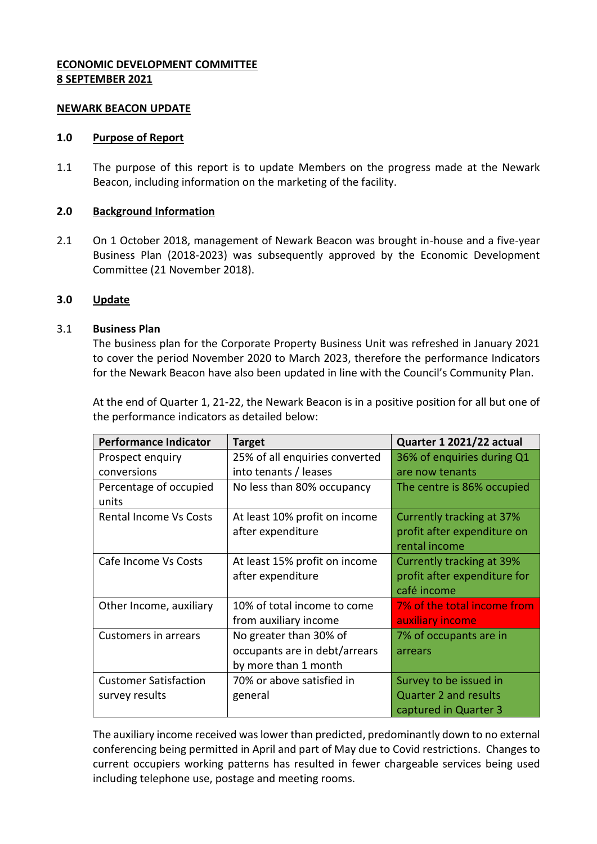# **ECONOMIC DEVELOPMENT COMMITTEE 8 SEPTEMBER 2021**

### **NEWARK BEACON UPDATE**

#### **1.0 Purpose of Report**

1.1 The purpose of this report is to update Members on the progress made at the Newark Beacon, including information on the marketing of the facility.

## **2.0 Background Information**

2.1 On 1 October 2018, management of Newark Beacon was brought in-house and a five-year Business Plan (2018-2023) was subsequently approved by the Economic Development Committee (21 November 2018).

### **3.0 Update**

### 3.1 **Business Plan**

The business plan for the Corporate Property Business Unit was refreshed in January 2021 to cover the period November 2020 to March 2023, therefore the performance Indicators for the Newark Beacon have also been updated in line with the Council's Community Plan.

At the end of Quarter 1, 21-22, the Newark Beacon is in a positive position for all but one of the performance indicators as detailed below:

| <b>Performance Indicator</b>    | <b>Target</b>                  | Quarter 1 2021/22 actual         |
|---------------------------------|--------------------------------|----------------------------------|
| Prospect enquiry                | 25% of all enquiries converted | 36% of enquiries during Q1       |
| conversions                     | into tenants / leases          | are now tenants                  |
| Percentage of occupied<br>units | No less than 80% occupancy     | The centre is 86% occupied       |
| Rental Income Vs Costs          | At least 10% profit on income  | Currently tracking at 37%        |
|                                 | after expenditure              | profit after expenditure on      |
|                                 |                                | rental income                    |
| Cafe Income Vs Costs            | At least 15% profit on income  | <b>Currently tracking at 39%</b> |
|                                 | after expenditure              | profit after expenditure for     |
|                                 |                                | café income                      |
| Other Income, auxiliary         | 10% of total income to come    | 7% of the total income from      |
|                                 | from auxiliary income          | auxiliary income                 |
| <b>Customers in arrears</b>     | No greater than 30% of         | 7% of occupants are in           |
|                                 | occupants are in debt/arrears  | arrears                          |
|                                 | by more than 1 month           |                                  |
| <b>Customer Satisfaction</b>    | 70% or above satisfied in      | Survey to be issued in           |
| survey results                  | general                        | <b>Quarter 2 and results</b>     |
|                                 |                                | captured in Quarter 3            |

The auxiliary income received was lower than predicted, predominantly down to no external conferencing being permitted in April and part of May due to Covid restrictions. Changes to current occupiers working patterns has resulted in fewer chargeable services being used including telephone use, postage and meeting rooms.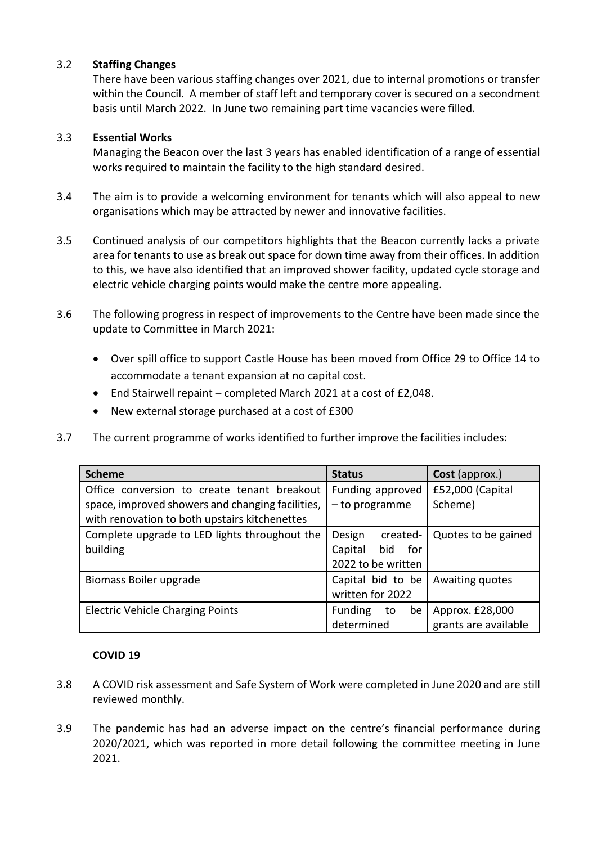# 3.2 **Staffing Changes**

There have been various staffing changes over 2021, due to internal promotions or transfer within the Council. A member of staff left and temporary cover is secured on a secondment basis until March 2022. In June two remaining part time vacancies were filled.

## 3.3 **Essential Works**

Managing the Beacon over the last 3 years has enabled identification of a range of essential works required to maintain the facility to the high standard desired.

- 3.4 The aim is to provide a welcoming environment for tenants which will also appeal to new organisations which may be attracted by newer and innovative facilities.
- 3.5 Continued analysis of our competitors highlights that the Beacon currently lacks a private area for tenants to use as break out space for down time away from their offices. In addition to this, we have also identified that an improved shower facility, updated cycle storage and electric vehicle charging points would make the centre more appealing.
- 3.6 The following progress in respect of improvements to the Centre have been made since the update to Committee in March 2021:
	- Over spill office to support Castle House has been moved from Office 29 to Office 14 to accommodate a tenant expansion at no capital cost.
	- End Stairwell repaint completed March 2021 at a cost of £2,048.
	- New external storage purchased at a cost of £300
- 3.7 The current programme of works identified to further improve the facilities includes:

| <b>Scheme</b>                                    | <b>Status</b>         | Cost (approx.)       |
|--------------------------------------------------|-----------------------|----------------------|
| Office conversion to create tenant breakout      | Funding approved      | £52,000 (Capital     |
| space, improved showers and changing facilities, | - to programme        | Scheme)              |
| with renovation to both upstairs kitchenettes    |                       |                      |
| Complete upgrade to LED lights throughout the    | Design<br>created-    | Quotes to be gained  |
| building                                         | Capital<br>bid<br>for |                      |
|                                                  | 2022 to be written    |                      |
| Biomass Boiler upgrade                           | Capital bid to be     | Awaiting quotes      |
|                                                  | written for 2022      |                      |
| <b>Electric Vehicle Charging Points</b>          | Funding<br>be<br>to   | Approx. £28,000      |
|                                                  | determined            | grants are available |

## **COVID 19**

- 3.8 A COVID risk assessment and Safe System of Work were completed in June 2020 and are still reviewed monthly.
- 3.9 The pandemic has had an adverse impact on the centre's financial performance during 2020/2021, which was reported in more detail following the committee meeting in June 2021.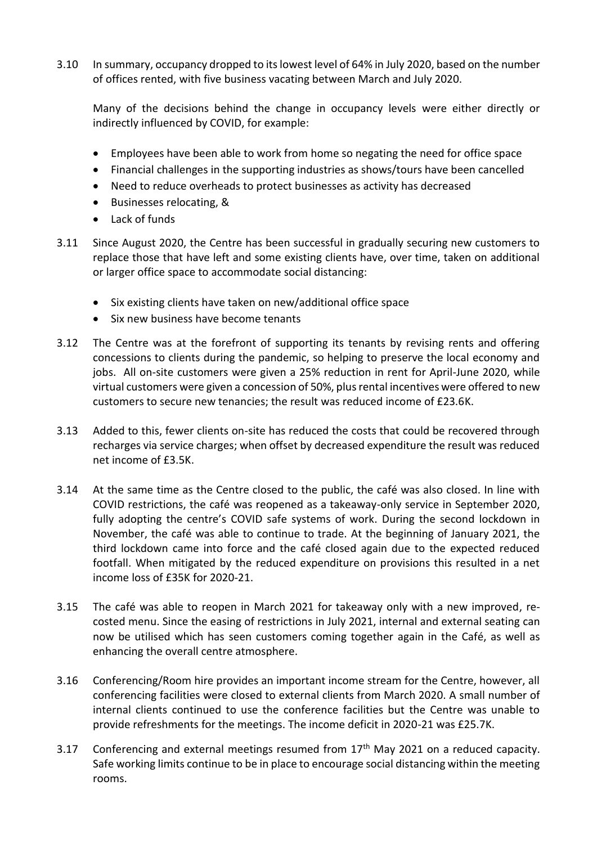3.10 In summary, occupancy dropped to its lowest level of 64% in July 2020, based on the number of offices rented, with five business vacating between March and July 2020.

Many of the decisions behind the change in occupancy levels were either directly or indirectly influenced by COVID, for example:

- Employees have been able to work from home so negating the need for office space
- Financial challenges in the supporting industries as shows/tours have been cancelled
- Need to reduce overheads to protect businesses as activity has decreased
- Businesses relocating, &
- Lack of funds
- 3.11 Since August 2020, the Centre has been successful in gradually securing new customers to replace those that have left and some existing clients have, over time, taken on additional or larger office space to accommodate social distancing:
	- Six existing clients have taken on new/additional office space
	- Six new business have become tenants
- 3.12 The Centre was at the forefront of supporting its tenants by revising rents and offering concessions to clients during the pandemic, so helping to preserve the local economy and jobs. All on-site customers were given a 25% reduction in rent for April-June 2020, while virtual customers were given a concession of 50%, plus rental incentives were offered to new customers to secure new tenancies; the result was reduced income of £23.6K.
- 3.13 Added to this, fewer clients on-site has reduced the costs that could be recovered through recharges via service charges; when offset by decreased expenditure the result was reduced net income of £3.5K.
- 3.14 At the same time as the Centre closed to the public, the café was also closed. In line with COVID restrictions, the café was reopened as a takeaway-only service in September 2020, fully adopting the centre's COVID safe systems of work. During the second lockdown in November, the café was able to continue to trade. At the beginning of January 2021, the third lockdown came into force and the café closed again due to the expected reduced footfall. When mitigated by the reduced expenditure on provisions this resulted in a net income loss of £35K for 2020-21.
- 3.15 The café was able to reopen in March 2021 for takeaway only with a new improved, recosted menu. Since the easing of restrictions in July 2021, internal and external seating can now be utilised which has seen customers coming together again in the Café, as well as enhancing the overall centre atmosphere.
- 3.16 Conferencing/Room hire provides an important income stream for the Centre, however, all conferencing facilities were closed to external clients from March 2020. A small number of internal clients continued to use the conference facilities but the Centre was unable to provide refreshments for the meetings. The income deficit in 2020-21 was £25.7K.
- 3.17 Conferencing and external meetings resumed from  $17<sup>th</sup>$  May 2021 on a reduced capacity. Safe working limits continue to be in place to encourage social distancing within the meeting rooms.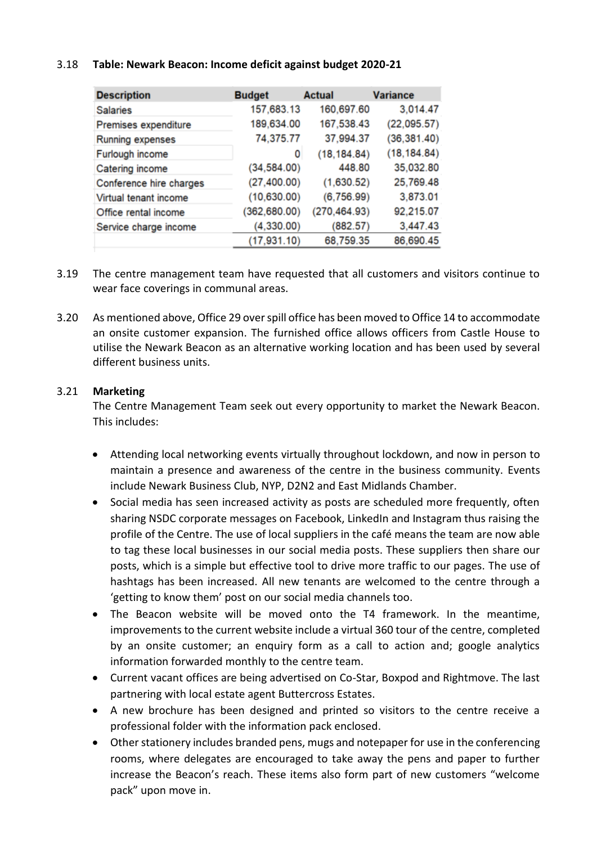## 3.18 **Table: Newark Beacon: Income deficit against budget 2020-21**

| <b>Description</b>      | <b>Budget</b> | <b>Actual</b> | <b>Variance</b> |
|-------------------------|---------------|---------------|-----------------|
| <b>Salaries</b>         | 157,683.13    | 160,697.60    | 3,014.47        |
| Premises expenditure    | 189,634.00    | 167,538.43    | (22,095.57)     |
| Running expenses        | 74,375.77     | 37,994.37     | (36, 381.40)    |
| Furlough income         | 0             | (18, 184.84)  | (18, 184.84)    |
| Catering income         | (34, 584.00)  | 448.80        | 35,032.80       |
| Conference hire charges | (27, 400.00)  | (1,630.52)    | 25,769.48       |
| Virtual tenant income   | (10,630.00)   | (6,756.99)    | 3,873.01        |
| Office rental income    | (362, 680.00) | (270, 464.93) | 92,215.07       |
| Service charge income   | (4,330.00)    | (882.57)      | 3,447.43        |
|                         | (17, 931.10)  | 68,759.35     | 86,690.45       |

- 3.19 The centre management team have requested that all customers and visitors continue to wear face coverings in communal areas.
- 3.20 As mentioned above, Office 29 over spill office has been moved to Office 14 to accommodate an onsite customer expansion. The furnished office allows officers from Castle House to utilise the Newark Beacon as an alternative working location and has been used by several different business units.

## 3.21 **Marketing**

The Centre Management Team seek out every opportunity to market the Newark Beacon. This includes:

- Attending local networking events virtually throughout lockdown, and now in person to maintain a presence and awareness of the centre in the business community. Events include Newark Business Club, NYP, D2N2 and East Midlands Chamber.
- Social media has seen increased activity as posts are scheduled more frequently, often sharing NSDC corporate messages on Facebook, LinkedIn and Instagram thus raising the profile of the Centre. The use of local suppliers in the café means the team are now able to tag these local businesses in our social media posts. These suppliers then share our posts, which is a simple but effective tool to drive more traffic to our pages. The use of hashtags has been increased. All new tenants are welcomed to the centre through a 'getting to know them' post on our social media channels too.
- The Beacon website will be moved onto the T4 framework. In the meantime, improvements to the current website include a virtual 360 tour of the centre, completed by an onsite customer; an enquiry form as a call to action and; google analytics information forwarded monthly to the centre team.
- Current vacant offices are being advertised on Co-Star, Boxpod and Rightmove. The last partnering with local estate agent Buttercross Estates.
- A new brochure has been designed and printed so visitors to the centre receive a professional folder with the information pack enclosed.
- Other stationery includes branded pens, mugs and notepaper for use in the conferencing rooms, where delegates are encouraged to take away the pens and paper to further increase the Beacon's reach. These items also form part of new customers "welcome pack" upon move in.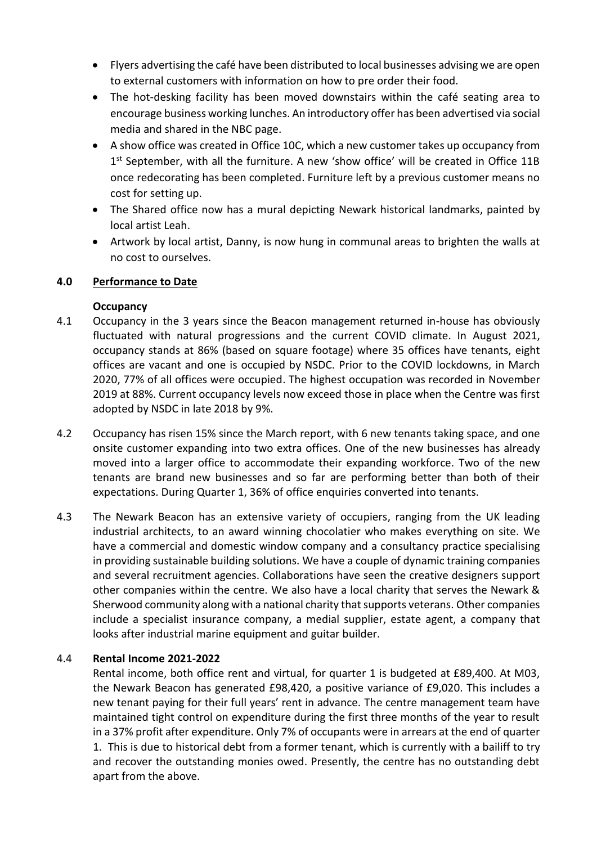- Flyers advertising the café have been distributed to local businesses advising we are open to external customers with information on how to pre order their food.
- The hot-desking facility has been moved downstairs within the café seating area to encourage business working lunches. An introductory offer has been advertised via social media and shared in the NBC page.
- A show office was created in Office 10C, which a new customer takes up occupancy from 1<sup>st</sup> September, with all the furniture. A new 'show office' will be created in Office 11B once redecorating has been completed. Furniture left by a previous customer means no cost for setting up.
- The Shared office now has a mural depicting Newark historical landmarks, painted by local artist Leah.
- Artwork by local artist, Danny, is now hung in communal areas to brighten the walls at no cost to ourselves.

# **4.0 Performance to Date**

# **Occupancy**

- 4.1 Occupancy in the 3 years since the Beacon management returned in-house has obviously fluctuated with natural progressions and the current COVID climate. In August 2021, occupancy stands at 86% (based on square footage) where 35 offices have tenants, eight offices are vacant and one is occupied by NSDC. Prior to the COVID lockdowns, in March 2020, 77% of all offices were occupied. The highest occupation was recorded in November 2019 at 88%. Current occupancy levels now exceed those in place when the Centre was first adopted by NSDC in late 2018 by 9%.
- 4.2 Occupancy has risen 15% since the March report, with 6 new tenants taking space, and one onsite customer expanding into two extra offices. One of the new businesses has already moved into a larger office to accommodate their expanding workforce. Two of the new tenants are brand new businesses and so far are performing better than both of their expectations. During Quarter 1, 36% of office enquiries converted into tenants.
- 4.3 The Newark Beacon has an extensive variety of occupiers, ranging from the UK leading industrial architects, to an award winning chocolatier who makes everything on site. We have a commercial and domestic window company and a consultancy practice specialising in providing sustainable building solutions. We have a couple of dynamic training companies and several recruitment agencies. Collaborations have seen the creative designers support other companies within the centre. We also have a local charity that serves the Newark & Sherwood community along with a national charity that supports veterans. Other companies include a specialist insurance company, a medial supplier, estate agent, a company that looks after industrial marine equipment and guitar builder.

# 4.4 **Rental Income 2021-2022**

Rental income, both office rent and virtual, for quarter 1 is budgeted at £89,400. At M03, the Newark Beacon has generated £98,420, a positive variance of £9,020. This includes a new tenant paying for their full years' rent in advance. The centre management team have maintained tight control on expenditure during the first three months of the year to result in a 37% profit after expenditure. Only 7% of occupants were in arrears at the end of quarter 1. This is due to historical debt from a former tenant, which is currently with a bailiff to try and recover the outstanding monies owed. Presently, the centre has no outstanding debt apart from the above.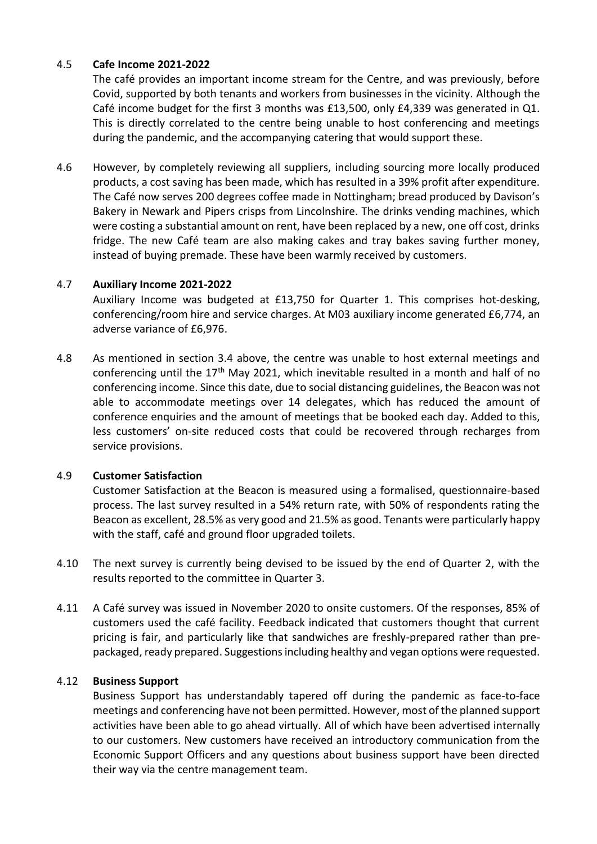# 4.5 **Cafe Income 2021-2022**

The café provides an important income stream for the Centre, and was previously, before Covid, supported by both tenants and workers from businesses in the vicinity. Although the Café income budget for the first 3 months was £13,500, only £4,339 was generated in Q1. This is directly correlated to the centre being unable to host conferencing and meetings during the pandemic, and the accompanying catering that would support these.

4.6 However, by completely reviewing all suppliers, including sourcing more locally produced products, a cost saving has been made, which has resulted in a 39% profit after expenditure. The Café now serves 200 degrees coffee made in Nottingham; bread produced by Davison's Bakery in Newark and Pipers crisps from Lincolnshire. The drinks vending machines, which were costing a substantial amount on rent, have been replaced by a new, one off cost, drinks fridge. The new Café team are also making cakes and tray bakes saving further money, instead of buying premade. These have been warmly received by customers.

## 4.7 **Auxiliary Income 2021-2022**

Auxiliary Income was budgeted at £13,750 for Quarter 1. This comprises hot-desking, conferencing/room hire and service charges. At M03 auxiliary income generated £6,774, an adverse variance of £6,976.

4.8 As mentioned in section 3.4 above, the centre was unable to host external meetings and conferencing until the 17<sup>th</sup> May 2021, which inevitable resulted in a month and half of no conferencing income. Since this date, due to social distancing guidelines, the Beacon was not able to accommodate meetings over 14 delegates, which has reduced the amount of conference enquiries and the amount of meetings that be booked each day. Added to this, less customers' on-site reduced costs that could be recovered through recharges from service provisions.

## 4.9 **Customer Satisfaction**

Customer Satisfaction at the Beacon is measured using a formalised, questionnaire-based process. The last survey resulted in a 54% return rate, with 50% of respondents rating the Beacon as excellent, 28.5% as very good and 21.5% as good. Tenants were particularly happy with the staff, café and ground floor upgraded toilets.

- 4.10 The next survey is currently being devised to be issued by the end of Quarter 2, with the results reported to the committee in Quarter 3.
- 4.11 A Café survey was issued in November 2020 to onsite customers. Of the responses, 85% of customers used the café facility. Feedback indicated that customers thought that current pricing is fair, and particularly like that sandwiches are freshly-prepared rather than prepackaged, ready prepared. Suggestions including healthy and vegan options were requested.

## 4.12 **Business Support**

Business Support has understandably tapered off during the pandemic as face-to-face meetings and conferencing have not been permitted. However, most of the planned support activities have been able to go ahead virtually. All of which have been advertised internally to our customers. New customers have received an introductory communication from the Economic Support Officers and any questions about business support have been directed their way via the centre management team.